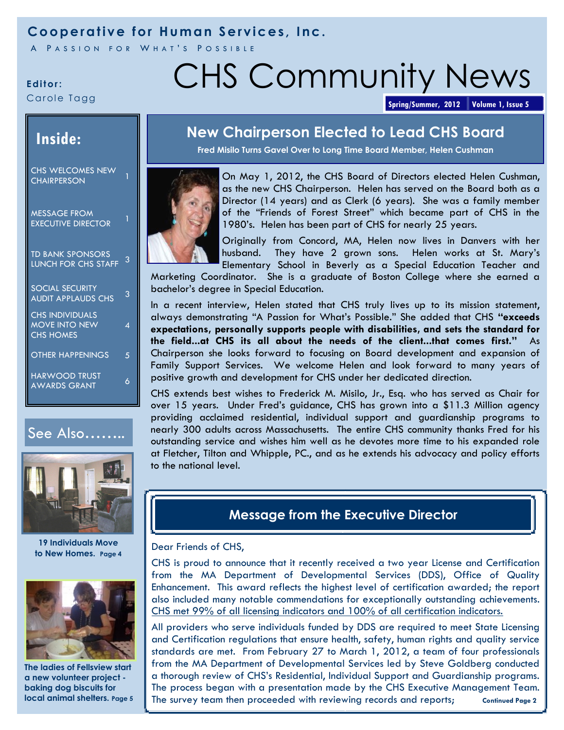## **Cooperative for Human Services, Inc.**

A PASSION FOR WHAT'S POSSIBLE

Carole Tagg

# **Editor: CHS Community News**

**Spring/Summer, 2012 Volume 1, Issue 5**

## **Inside:**

CHS WELCOMES NEW CHAIRPERSON

MESSAGE FROM EXECUTIVE DIRECTOR<sup>1</sup>

TD BANK SPONSORS LUNCH FOR CHS STAFF 3

SOCIAL SECURITY AUDIT APPLAUDS CHS<sup>3</sup>

4

CHS INDIVIDUALS MOVE INTO NEW CHS HOMES

OTHER HAPPENINGS 5

HARWOOD TRUST AWARDS GRANT 6





**19 Individuals Move to New Homes. Page 4**



**The ladies of Fellsview start a new volunteer project baking dog biscuits for local animal shelters.** Page 5

## **New Chairperson Elected to Lead CHS Board**

**Fred Misilo Turns Gavel Over to Long Time Board Member, Helen Cushman**



On May 1, 2012, the CHS Board of Directors elected Helen Cushman, as the new CHS Chairperson. Helen has served on the Board both as a Director (14 years) and as Clerk (6 years). She was a family member of the "Friends of Forest Street" which became part of CHS in the 1980's. Helen has been part of CHS for nearly 25 years.



Originally from Concord, MA, Helen now lives in Danvers with her husband. They have 2 grown sons. Helen works at St. Mary's Elementary School in Beverly as a Special Education Teacher and

Marketing Coordinator. She is a graduate of Boston College where she earned a bachelor's degree in Special Education.

In a recent interview, Helen stated that CHS truly lives up to its mission statement, always demonstrating "A Passion for What's Possible." She added that CHS **"exceeds expectations, personally supports people with disabilities, and sets the standard for the field...at CHS its all about the needs of the client...that comes first."** As Chairperson she looks forward to focusing on Board development and expansion of Family Support Services. We welcome Helen and look forward to many years of positive growth and development for CHS under her dedicated direction.

CHS extends best wishes to Frederick M. Misilo, Jr., Esq. who has served as Chair for over 15 years. Under Fred's guidance, CHS has grown into a \$11.3 Million agency providing acclaimed residential, individual support and guardianship programs to nearly 300 adults across Massachusetts. The entire CHS community thanks Fred for his outstanding service and wishes him well as he devotes more time to his expanded role at Fletcher, Tilton and Whipple, PC., and as he extends his advocacy and policy efforts to the national level.

## **Message from the Executive Director**

#### Dear Friends of CHS,

CHS is proud to announce that it recently received a two year License and Certification from the MA Department of Developmental Services (DDS), Office of Quality Enhancement. This award reflects the highest level of certification awarded; the report also included many notable commendations for exceptionally outstanding achievements. CHS met 99% of all licensing indicators and 100% of all certification indicators.

All providers who serve individuals funded by DDS are required to meet State Licensing and Certification regulations that ensure health, safety, human rights and quality service standards are met. From February 27 to March 1, 2012, a team of four professionals from the MA Department of Developmental Services led by Steve Goldberg conducted a thorough review of CHS's Residential, Individual Support and Guardianship programs. The process began with a presentation made by the CHS Executive Management Team. The survey team then proceeded with reviewing records and reports; Continued Page 2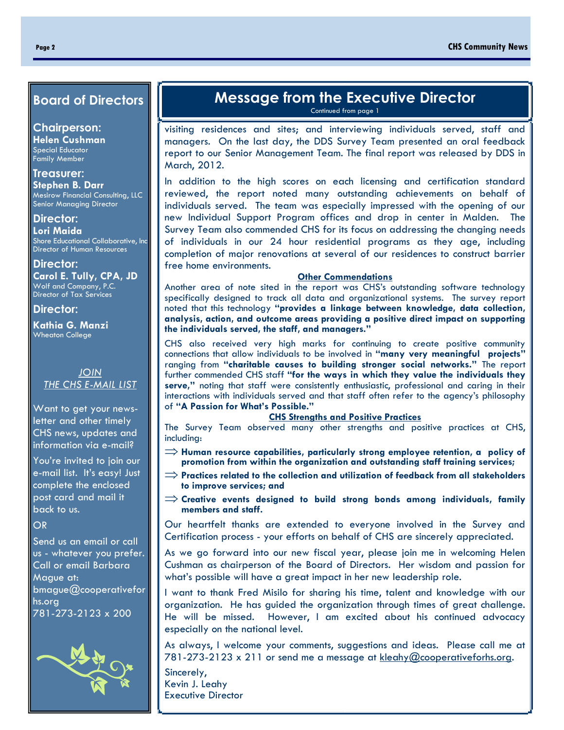#### **Board of Directors**

**Chairperson:**

**Helen Cushman** Special Educator Family Member

#### **Treasurer:**

**Stephen B. Darr** Mesirow Financial Consulting, LLC Senior Managing Director

**Director: Lori Maida** Shore Educational Collaborative, Inc Director of Human Resources

**Director: Carol E. Tully, CPA, JD** Wolf and Company, P.C. Director of Tax Services

#### **Director:**

**Kathia G. Manzi**  Wheaton College

> *JOIN THE CHS E-MAIL LIST*

Want to get your newsletter and other timely CHS news, updates and information via e-mail?

You're invited to join our e-mail list. It's easy! Just complete the enclosed post card and mail it back to us.

#### OR

Send us an email or call us - whatever you prefer. Call or email Barbara Mague at: bmague@cooperativefor hs.org 781-273-2123 x 200



## **Message from the Executive Director**

Continued from page 1

visiting residences and sites; and interviewing individuals served, staff and managers. On the last day, the DDS Survey Team presented an oral feedback report to our Senior Management Team. The final report was released by DDS in March, 2012.

In addition to the high scores on each licensing and certification standard reviewed, the report noted many outstanding achievements on behalf of individuals served. The team was especially impressed with the opening of our new Individual Support Program offices and drop in center in Malden. The Survey Team also commended CHS for its focus on addressing the changing needs of individuals in our 24 hour residential programs as they age, including completion of major renovations at several of our residences to construct barrier free home environments.

#### **Other Commendations**

Another area of note sited in the report was CHS's outstanding software technology specifically designed to track all data and organizational systems. The survey report noted that this technology **"provides a linkage between knowledge, data collection, analysis, action, and outcome areas providing a positive direct impact on supporting the individuals served, the staff, and managers."** 

CHS also received very high marks for continuing to create positive community connections that allow individuals to be involved in **"many very meaningful projects"**  ranging from **"charitable causes to building stronger social networks."** The report further commended CHS staff **"for the ways in which they value the individuals they serve,"** noting that staff were consistently enthusiastic, professional and caring in their interactions with individuals served and that staff often refer to the agency's philosophy of **"A Passion for What's Possible."** 

#### **CHS Strengths and Positive Practices**

The Survey Team observed many other strengths and positive practices at CHS, including:

- $\Rightarrow$  Human resource capabilities, particularly strong employee retention, a policy of **promotion from within the organization and outstanding staff training services;**
- $\Rightarrow$  Practices related to the collection and utilization of feedback from all stakeholders **to improve services; and**
- $\Rightarrow$  Creative events designed to build strong bonds among individuals, family **members and staff.**

Our heartfelt thanks are extended to everyone involved in the Survey and Certification process - your efforts on behalf of CHS are sincerely appreciated.

As we go forward into our new fiscal year, please join me in welcoming Helen Cushman as chairperson of the Board of Directors. Her wisdom and passion for what's possible will have a great impact in her new leadership role.

I want to thank Fred Misilo for sharing his time, talent and knowledge with our organization. He has guided the organization through times of great challenge. He will be missed. However, I am excited about his continued advocacy especially on the national level.

As always, I welcome your comments, suggestions and ideas. Please call me at 781-273-2123 x 211 or send me a message at kleahy@cooperativeforhs.org.

Sincerely, Kevin J. Leahy Executive Director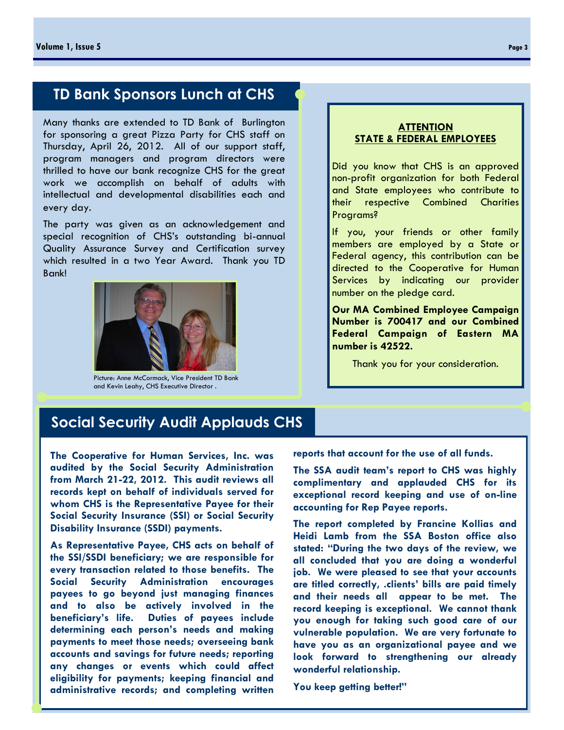## **TD Bank Sponsors Lunch at CHS**

Many thanks are extended to TD Bank of Burlington for sponsoring a great Pizza Party for CHS staff on Thursday, April 26, 2012. All of our support staff, program managers and program directors were thrilled to have our bank recognize CHS for the great work we accomplish on behalf of adults with intellectual and developmental disabilities each and every day.

The party was given as an acknowledgement and special recognition of CHS's outstanding bi-annual Quality Assurance Survey and Certification survey which resulted in a two Year Award. Thank you TD Bank!



Picture: Anne McCormack, Vice President TD Bank and Kevin Leahy, CHS Executive Director .

#### **ATTENTION STATE & FEDERAL EMPLOYEES**

Did you know that CHS is an approved non-profit organization for both Federal and State employees who contribute to their respective Combined Charities Programs?

If you, your friends or other family members are employed by a State or Federal agency, this contribution can be directed to the Cooperative for Human Services by indicating our provider number on the pledge card.

**Our MA Combined Employee Campaign Number is 700417 and our Combined Federal Campaign of Eastern MA number is 42522.** 

Thank you for your consideration.

## **Social Security Audit Applauds CHS**

**The Cooperative for Human Services, Inc. was audited by the Social Security Administration from March 21-22, 2012. This audit reviews all records kept on behalf of individuals served for whom CHS is the Representative Payee for their Social Security Insurance (SSI) or Social Security Disability Insurance (SSDI) payments.** 

**As Representative Payee, CHS acts on behalf of the SSI/SSDI beneficiary; we are responsible for every transaction related to those benefits. The Social Security Administration encourages payees to go beyond just managing finances and to also be actively involved in the beneficiary's life. Duties of payees include determining each person's needs and making payments to meet those needs; overseeing bank accounts and savings for future needs; reporting any changes or events which could affect eligibility for payments; keeping financial and administrative records; and completing written**  **reports that account for the use of all funds.**

**The SSA audit team's report to CHS was highly complimentary and applauded CHS for its exceptional record keeping and use of on-line accounting for Rep Payee reports.** 

**The report completed by Francine Kollias and Heidi Lamb from the SSA Boston office also stated: "During the two days of the review, we all concluded that you are doing a wonderful job. We were pleased to see that your accounts are titled correctly, .clients' bills are paid timely and their needs all appear to be met. The record keeping is exceptional. We cannot thank you enough for taking such good care of our vulnerable population. We are very fortunate to have you as an organizational payee and we look forward to strengthening our already wonderful relationship.** 

**You keep getting better!"**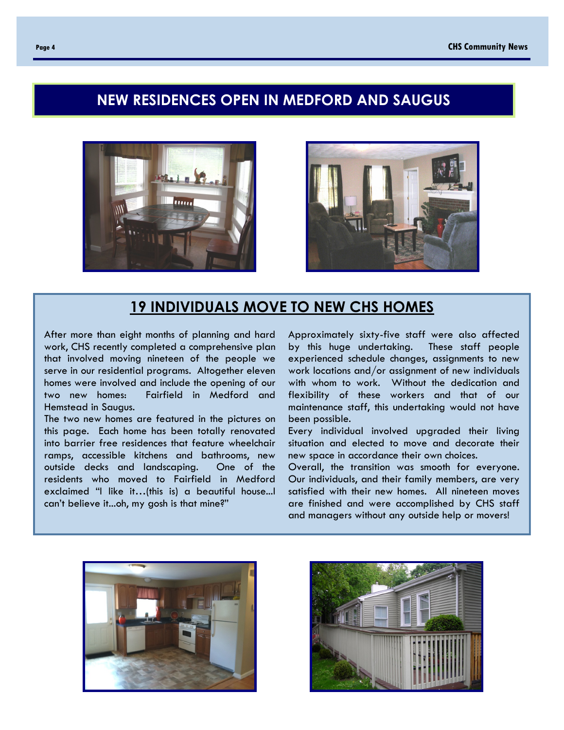## **NEW RESIDENCES OPEN IN MEDFORD AND SAUGUS**





### **19 INDIVIDUALS MOVE TO NEW CHS HOMES**

After more than eight months of planning and hard work, CHS recently completed a comprehensive plan that involved moving nineteen of the people we serve in our residential programs. Altogether eleven homes were involved and include the opening of our two new homes: Fairfield in Medford and Hemstead in Saugus.

The two new homes are featured in the pictures on this page. Each home has been totally renovated into barrier free residences that feature wheelchair ramps, accessible kitchens and bathrooms, new outside decks and landscaping. One of the residents who moved to Fairfield in Medford exclaimed "I like it…(this is) a beautiful house...I can't believe it...oh, my gosh is that mine?"

Approximately sixty-five staff were also affected by this huge undertaking. These staff people experienced schedule changes, assignments to new work locations and/or assignment of new individuals with whom to work. Without the dedication and flexibility of these workers and that of our maintenance staff, this undertaking would not have been possible.

Every individual involved upgraded their living situation and elected to move and decorate their new space in accordance their own choices.

Overall, the transition was smooth for everyone. Our individuals, and their family members, are very satisfied with their new homes. All nineteen moves are finished and were accomplished by CHS staff and managers without any outside help or movers!



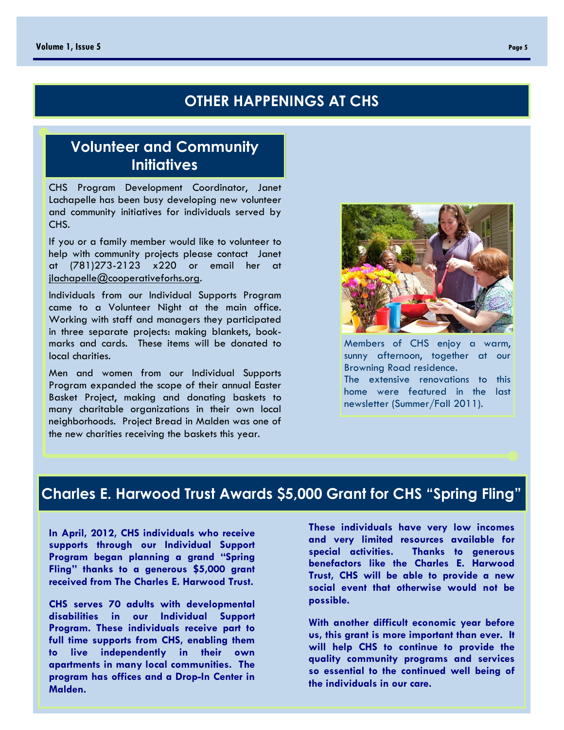## **OTHER HAPPENINGS AT CHS**

## **Volunteer and Community Initiatives**

CHS Program Development Coordinator, Janet Lachapelle has been busy developing new volunteer and community initiatives for individuals served by CHS.

If you or a family member would like to volunteer to help with community projects please contact Janet at (781)273-2123 x220 or email her at jlachapelle@cooperativeforhs.org.

Individuals from our Individual Supports Program came to a Volunteer Night at the main office. Working with staff and managers they participated in three separate projects: making blankets, bookmarks and cards. These items will be donated to local charities.

Men and women from our Individual Supports Program expanded the scope of their annual Easter Basket Project, making and donating baskets to many charitable organizations in their own local neighborhoods. Project Bread in Malden was one of the new charities receiving the baskets this year.



Members of CHS enjoy a warm, sunny afternoon, together at our Browning Road residence. The extensive renovations to this home were featured in the last newsletter (Summer/Fall 2011).

## **Charles E. Harwood Trust Awards \$5,000 Grant for CHS "Spring Fling"**

**In April, 2012, CHS individuals who receive supports through our Individual Support Program began planning a grand "Spring Fling" thanks to a generous \$5,000 grant received from The Charles E. Harwood Trust.** 

**CHS serves 70 adults with developmental disabilities in our Individual Support Program. These individuals receive part to full time supports from CHS, enabling them to live independently in their own apartments in many local communities. The program has offices and a Drop-In Center in Malden.** 

**These individuals have very low incomes and very limited resources available for special activities. Thanks to generous benefactors like the Charles E. Harwood Trust, CHS will be able to provide a new social event that otherwise would not be possible.**

**With another difficult economic year before us, this grant is more important than ever. It will help CHS to continue to provide the quality community programs and services so essential to the continued well being of the individuals in our care.**